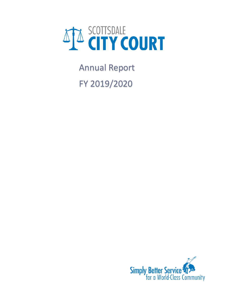

Annual Report FY 2019/2020

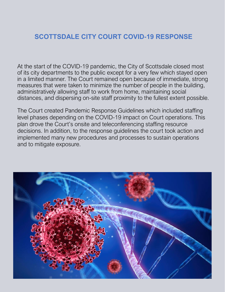## **SCOTTSDALE CITY COURT COVID-19 RESPONSE**

At the start of the COVID-19 pandemic, the City of Scottsdale closed most of its city departments to the public except for a very few which stayed open in a limited manner. The Court remained open because of immediate, strong measures that were taken to minimize the number of people in the building, administratively allowing staff to work from home, maintaining social distances, and dispersing on-site staff proximity to the fullest extent possible.

The Court created Pandemic Response Guidelines which included staffing level phases depending on the COVID-19 impact on Court operations. This plan drove the Court's onsite and teleconferencing staffing resource decisions. In addition, to the response guidelines the court took action and implemented many new procedures and processes to sustain operations and to mitigate exposure.

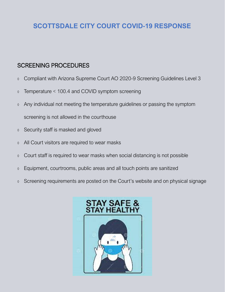# **SCOTTSDALE CITY COURT COVID-19 RESPONSE**

### SCREENING PROCEDURES

- Compliant with Arizona Supreme Court AO 2020-9 Screening Guidelines Level 3
- Temperature < 100.4 and COVID symptom screening
- Any individual not meeting the temperature guidelines or passing the symptom screening is not allowed in the courthouse
- Security staff is masked and gloved
- All Court visitors are required to wear masks
- Court staff is required to wear masks when social distancing is not possible
- Equipment, courtrooms, public areas and all touch points are sanitized
- Screening requirements are posted on the Court's website and on physical signage

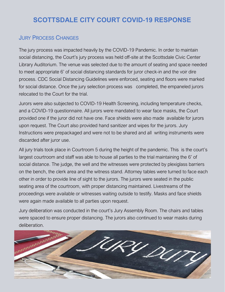# **SCOTTSDALE CITY COURT COVID-19 RESPONSE**

#### JURY PROCESS CHANGES

The jury process was impacted heavily by the COVID-19 Pandemic. In order to maintain social distancing, the Court's jury process was held off-site at the Scottsdale Civic Center Library Auditorium. The venue was selected due to the amount of seating and space needed to meet appropriate 6' of social distancing standards for juror check-in and the voir dire process. CDC Social Distancing Guidelines were enforced, seating and floors were marked for social distance. Once the jury selection process was completed, the empaneled jurors relocated to the Court for the trial.

Jurors were also subjected to COVID-19 Health Screening, including temperature checks, and a COVID-19 questionnaire. All jurors were mandated to wear face masks, the Court provided one if the juror did not have one. Face shields were also made available for jurors upon request. The Court also provided hand sanitizer and wipes for the jurors. Jury Instructions were prepackaged and were not to be shared and all writing instruments were discarded after juror use.

All jury trials took place in Courtroom 5 during the height of the pandemic. This is the court's largest courtroom and staff was able to house all parties to the trial maintaining the 6' of social distance. The judge, the well and the witnesses were protected by plexiglass barriers on the bench, the clerk area and the witness stand. Attorney tables were turned to face each other in order to provide line of sight to the jurors. The jurors were seated in the public seating area of the courtroom, with proper distancing maintained. Livestreams of the proceedings were available or witnesses waiting outside to testify. Masks and face shields were again made available to all parties upon request.

Jury deliberation was conducted in the court's Jury Assembly Room. The chairs and tables were spaced to ensure proper distancing. The jurors also continued to wear masks during deliberation.

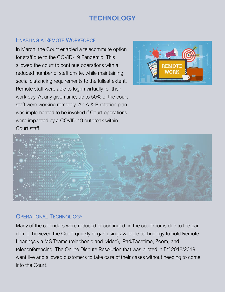# **TECHNOLOGY**

#### ENABLING A REMOTE WORKFORCE

In March, the Court enabled a telecommute option for staff due to the COVID-19 Pandemic. This allowed the court to continue operations with a reduced number of staff onsite, while maintaining social distancing requirements to the fullest extent. Remote staff were able to log-in virtually for their work day. At any given time, up to 50% of the court staff were working remotely. An A & B rotation plan was implemented to be invoked if Court operations were impacted by a COVID-19 outbreak within Court staff.





#### OPERATIONAL TECHNOLIOGY

Many of the calendars were reduced or continued in the courtrooms due to the pandemic, however, the Court quickly began using available technology to hold Remote Hearings via MS Teams (telephonic and video), iPad/Facetime, Zoom, and teleconferencing. The Online Dispute Resolution that was piloted in FY 2018/2019, went live and allowed customers to take care of their cases without needing to come into the Court.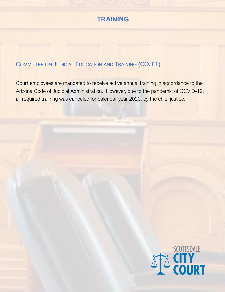

#### COMMITTEE ON JUDICIAL EDUCATION AND TRAINING (COJET)

Court employees are mandated to receive active annual training in accordance to the Arizona Code of Judicial Administration. However, due to the pandemic of COVID-19, all required training was canceled for calendar year 2020, by the chief justice.

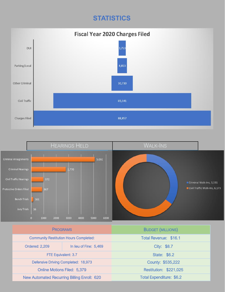# **STATISTICS**





| <b>PROGRAMS</b>                                    |                        | <b>BUDGET (MILLIONS)</b>        |
|----------------------------------------------------|------------------------|---------------------------------|
| <b>Community Restitution Hours Completed:</b>      |                        | Total Revenue: \$16.1           |
| <b>Ordered: 2,209</b>                              | In lieu of Fine: 5,469 | City: \$8.7                     |
| FTE Equivalent: 3.7                                |                        | <b>State: \$6.2</b>             |
| Defensive Driving Completed: 18,973                |                        | County: \$535,222               |
| <b>Online Motions Filed: 5,379</b>                 |                        | Restitution: \$221,025          |
| <b>New Automated Recurring Billing Enroll: 620</b> |                        | <b>Total Expenditure: \$6.2</b> |